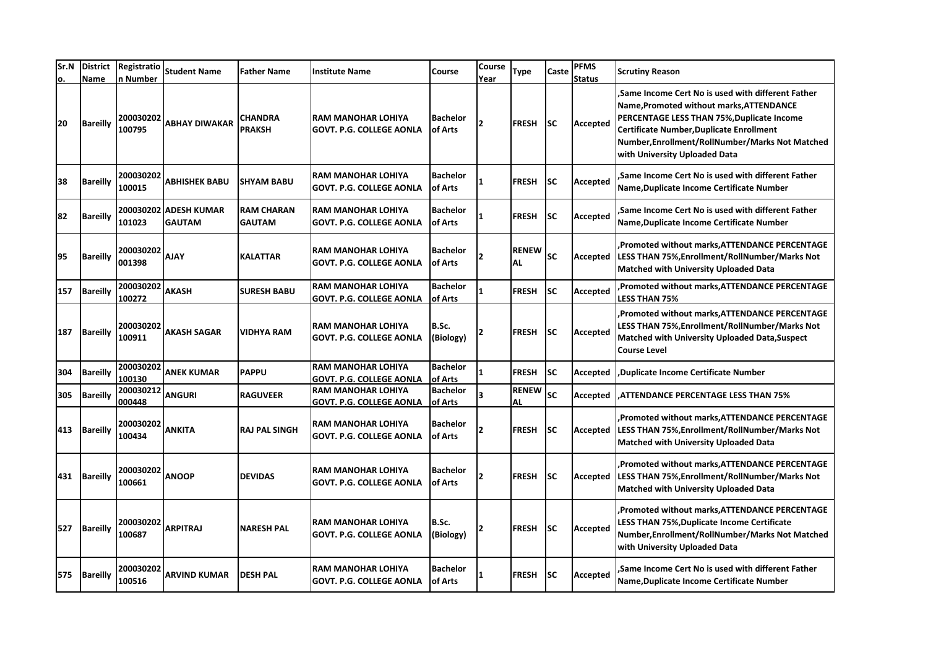| Sr.N<br>о. | <b>District</b><br>Name | Registratio<br>n Number | <b>Student Name</b>                 | <b>Father Name</b>                 | Institute Name                                               | Course                     | Course<br>Year           | Type                      | Caste     | <b>PFMS</b><br><b>Status</b> | <b>Scrutiny Reason</b>                                                                                                                                                                                                                                                       |
|------------|-------------------------|-------------------------|-------------------------------------|------------------------------------|--------------------------------------------------------------|----------------------------|--------------------------|---------------------------|-----------|------------------------------|------------------------------------------------------------------------------------------------------------------------------------------------------------------------------------------------------------------------------------------------------------------------------|
| 20         | <b>Bareilly</b>         | 200030202<br>100795     | <b>ABHAY DIWAKAR</b>                | <b>CHANDRA</b><br><b>PRAKSH</b>    | <b>RAM MANOHAR LOHIYA</b><br><b>GOVT. P.G. COLLEGE AONLA</b> | <b>Bachelor</b><br>of Arts | $\overline{\phantom{a}}$ | <b>FRESH</b>              | <b>SC</b> | Accepted                     | Same Income Cert No is used with different Father.<br>Name, Promoted without marks, ATTENDANCE<br>PERCENTAGE LESS THAN 75%, Duplicate Income<br>Certificate Number, Duplicate Enrollment<br>Number, Enrollment/RollNumber/Marks Not Matched<br>with University Uploaded Data |
| 38         | <b>Bareilly</b>         | 200030202<br>100015     | <b>ABHISHEK BABU</b>                | <b>SHYAM BABU</b>                  | RAM MANOHAR LOHIYA<br>GOVT. P.G. COLLEGE AONLA               | <b>Bachelor</b><br>of Arts | 1                        | <b>FRESH</b>              | SC        | Accepted                     | Same Income Cert No is used with different Father<br>Name, Duplicate Income Certificate Number                                                                                                                                                                               |
| 82         | <b>Bareilly</b>         | 200030202<br>101023     | <b>ADESH KUMAR</b><br><b>GAUTAM</b> | <b>RAM CHARAN</b><br><b>GAUTAM</b> | <b>RAM MANOHAR LOHIYA</b><br><b>GOVT. P.G. COLLEGE AONLA</b> | <b>Bachelor</b><br>of Arts |                          | <b>FRESH</b>              | <b>SC</b> | Accepted                     | Same Income Cert No is used with different Father.<br>Name, Duplicate Income Certificate Number                                                                                                                                                                              |
| 95         | <b>Bareilly</b>         | 200030202<br>001398     | <b>AJAY</b>                         | <b>KALATTAR</b>                    | <b>RAM MANOHAR LOHIYA</b><br><b>GOVT. P.G. COLLEGE AONLA</b> | <b>Bachelor</b><br>of Arts |                          | <b>RENEW</b><br><b>AL</b> | <b>SC</b> | Accepted                     | Promoted without marks, ATTENDANCE PERCENTAGE<br>LESS THAN 75%, Enrollment/RollNumber/Marks Not<br><b>Matched with University Uploaded Data</b>                                                                                                                              |
| 157        | <b>Bareilly</b>         | 200030202<br>100272     | <b>AKASH</b>                        | <b>SURESH BABU</b>                 | <b>RAM MANOHAR LOHIYA</b><br><b>GOVT. P.G. COLLEGE AONLA</b> | <b>Bachelor</b><br>of Arts |                          | <b>FRESH</b>              | <b>SC</b> | Accepted                     | Promoted without marks, ATTENDANCE PERCENTAGE,<br><b>LESS THAN 75%</b>                                                                                                                                                                                                       |
| 187        | <b>Bareilly</b>         | 200030202<br>100911     | <b>AKASH SAGAR</b>                  | VIDHYA RAM                         | RAM MANOHAR LOHIYA<br><b>GOVT. P.G. COLLEGE AONLA</b>        | B.Sc.<br>(Biology)         | $\overline{2}$           | <b>FRESH</b>              | <b>SC</b> | Accepted                     | Promoted without marks, ATTENDANCE PERCENTAGE<br>LESS THAN 75%, Enrollment/RollNumber/Marks Not<br><b>Matched with University Uploaded Data, Suspect</b><br><b>Course Level</b>                                                                                              |
| 304        | <b>Bareilly</b>         | 200030202<br>100130     | <b>ANEK KUMAR</b>                   | <b>PAPPU</b>                       | <b>RAM MANOHAR LOHIYA</b><br><b>GOVT. P.G. COLLEGE AONLA</b> | <b>Bachelor</b><br>of Arts |                          | <b>FRESH</b>              | <b>SC</b> | Accepted                     | Duplicate Income Certificate Number                                                                                                                                                                                                                                          |
| 305        | <b>Bareilly</b>         | 200030212<br>000448     | <b>ANGURI</b>                       | <b>RAGUVEER</b>                    | <b>RAM MANOHAR LOHIYA</b><br><u>GOVT. P.G. COLLEGE AONLA</u> | <b>Bachelor</b><br>of Arts |                          | <b>RENEW</b><br>ΔI        | <b>SC</b> | Accepted                     | ATTENDANCE PERCENTAGE LESS THAN 75%,                                                                                                                                                                                                                                         |
| 413        | <b>Bareilly</b>         | 200030202<br>100434     | <b>ANKITA</b>                       | <b>RAJ PAL SINGH</b>               | RAM MANOHAR LOHIYA<br><b>GOVT. P.G. COLLEGE AONLA</b>        | <b>Bachelor</b><br>of Arts | $\overline{2}$           | <b>FRESH</b>              | <b>SC</b> | Accepted                     | Promoted without marks, ATTENDANCE PERCENTAGE<br>LESS THAN 75%, Enrollment/RollNumber/Marks Not<br><b>Matched with University Uploaded Data</b>                                                                                                                              |
| 431        | <b>Bareilly</b>         | 200030202<br>100661     | <b>ANOOP</b>                        | <b>DEVIDAS</b>                     | <b>RAM MANOHAR LOHIYA</b><br>GOVT. P.G. COLLEGE AONLA        | <b>Bachelor</b><br>of Arts | $\overline{\phantom{a}}$ | <b>FRESH</b>              | SC        | Accepted                     | Promoted without marks, ATTENDANCE PERCENTAGE<br>LESS THAN 75%, Enrollment/RollNumber/Marks Not<br><b>Matched with University Uploaded Data</b>                                                                                                                              |
| 527        | Bareilly                | 200030202<br>100687     | <b>ARPITRAJ</b>                     | <b>NARESH PAL</b>                  | <b>RAM MANOHAR LOHIYA</b><br><b>GOVT. P.G. COLLEGE AONLA</b> | B.Sc.<br>(Biology)         | $\overline{2}$           | <b>FRESH</b>              | <b>SC</b> | Accepted                     | Promoted without marks, ATTENDANCE PERCENTAGE,<br><b>LESS THAN 75%, Duplicate Income Certificate</b><br>Number, Enrollment/RollNumber/Marks Not Matched<br>with University Uploaded Data                                                                                     |
| 575        | <b>Bareilly</b>         | 200030202<br>100516     | <b>ARVIND KUMAR</b>                 | <b>DESH PAL</b>                    | RAM MANOHAR LOHIYA<br>GOVT. P.G. COLLEGE AONLA               | <b>Bachelor</b><br>of Arts |                          | <b>FRESH</b>              | SC        | Accepted                     | Same Income Cert No is used with different Father.<br>Name, Duplicate Income Certificate Number                                                                                                                                                                              |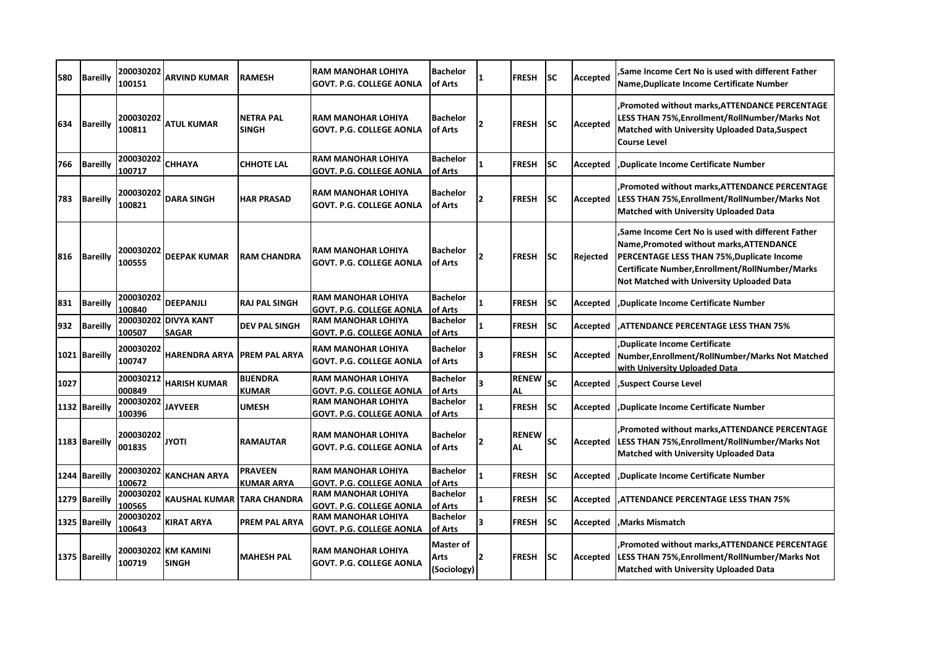| 580  | <b>Bareilly</b> | 200030202<br>100151 | <b>ARVIND KUMAR</b>                  | <b>RAMESH</b>                    | RAM MANOHAR LOHIYA<br>GOVT. P.G. COLLEGE AONLA               | <b>Bachelor</b><br>of Arts                     |                | <b>FRESH</b>              | <b>SC</b> | <b>Accepted</b> | Same Income Cert No is used with different Father.<br>Name, Duplicate Income Certificate Number                                                                                                                                                     |
|------|-----------------|---------------------|--------------------------------------|----------------------------------|--------------------------------------------------------------|------------------------------------------------|----------------|---------------------------|-----------|-----------------|-----------------------------------------------------------------------------------------------------------------------------------------------------------------------------------------------------------------------------------------------------|
| 634  | <b>Bareilly</b> | 200030202<br>100811 | <b>ATUL KUMAR</b>                    | <b>NETRA PAL</b><br><b>SINGH</b> | RAM MANOHAR LOHIYA<br>GOVT. P.G. COLLEGE AONLA               | <b>Bachelor</b><br>of Arts                     | 2              | <b>FRESH</b>              | SC        | Accepted        | Promoted without marks, ATTENDANCE PERCENTAGE<br>LESS THAN 75%, Enrollment/RollNumber/Marks Not<br>Matched with University Uploaded Data, Suspect<br><b>Course Level</b>                                                                            |
| 766  | <b>Bareilly</b> | 200030202<br>100717 | <b>CHHAYA</b>                        | <b>CHHOTE LAL</b>                | <b>RAM MANOHAR LOHIYA</b><br>GOVT. P.G. COLLEGE AONLA        | <b>Bachelor</b><br>lof Arts                    |                | <b>FRESH</b>              | SC        | Accepted        | .Duplicate Income Certificate Number                                                                                                                                                                                                                |
| 783  | <b>Bareilly</b> | 200030202<br>100821 | <b>DARA SINGH</b>                    | <b>HAR PRASAD</b>                | RAM MANOHAR LOHIYA<br><b>GOVT. P.G. COLLEGE AONLA</b>        | <b>Bachelor</b><br><b>of Arts</b>              |                | <b>FRESH</b>              | SC        | Accepted        | Promoted without marks, ATTENDANCE PERCENTAGE<br>LESS THAN 75%, Enrollment/RollNumber/Marks Not<br><b>Matched with University Uploaded Data</b>                                                                                                     |
| 816  | Bareilly        | 200030202<br>100555 | <b>DEEPAK KUMAR</b>                  | <b>RAM CHANDRA</b>               | RAM MANOHAR LOHIYA<br><b>GOVT. P.G. COLLEGE AONLA</b>        | <b>Bachelor</b><br>of Arts                     | 2              | <b>FRESH</b>              | SC        | Rejected        | Same Income Cert No is used with different Father.<br>Name, Promoted without marks, ATTENDANCE<br>PERCENTAGE LESS THAN 75%, Duplicate Income<br>Certificate Number, Enrollment/RollNumber/Marks<br><b>Not Matched with University Uploaded Data</b> |
| 831  | <b>Bareilly</b> | 200030202<br>100840 | <b>DEEPANJLI</b>                     | <b>RAJ PAL SINGH</b>             | RAM MANOHAR LOHIYA<br><b>GOVT. P.G. COLLEGE AONLA</b>        | <b>Bachelor</b><br>of Arts                     |                | <b>FRESH</b>              | SC        | Accepted        | Duplicate Income Certificate Number,                                                                                                                                                                                                                |
| 932  | <b>Bareilly</b> | 100507              | 200030202 DIVYA KANT<br><b>SAGAR</b> | <b>DEV PAL SINGH</b>             | <b>RAM MANOHAR LOHIYA</b><br>GOVT. P.G. COLLEGE AONLA        | <b>Bachelor</b><br>of Arts                     |                | <b>FRESH</b>              | SC        | Accepted        | ATTENDANCE PERCENTAGE LESS THAN 75%                                                                                                                                                                                                                 |
|      | 1021 Bareilly   | 200030202<br>100747 | <b>HARENDRA ARYA</b>                 | <b>PREM PAL ARYA</b>             | <b>RAM MANOHAR LOHIYA</b><br><b>GOVT. P.G. COLLEGE AONLA</b> | <b>Bachelor</b><br>of Arts                     |                | <b>FRESH</b>              | SC        | Accepted        | Duplicate Income Certificate<br>Number, Enrollment/RollNumber/Marks Not Matched<br>with University Uploaded Data                                                                                                                                    |
| 1027 |                 | 200030212<br>000849 | <b>HARISH KUMAR</b>                  | <b>BIJENDRA</b><br><b>KUMAR</b>  | <b>RAM MANOHAR LOHIYA</b><br>GOVT. P.G. COLLEGE AONLA        | <b>Bachelor</b><br>of Arts                     |                | <b>RENEW</b><br>AL        | <b>SC</b> | Accepted        | Suspect Course Level                                                                                                                                                                                                                                |
|      | 1132 Bareilly   | 200030202<br>100396 | <b>JAYVEER</b>                       | <b>UMESH</b>                     | RAM MANOHAR LOHIYA<br>GOVT. P.G. COLLEGE AONLA               | <b>Bachelor</b><br>of Arts                     |                | <b>FRESH</b>              | SC        | Accepted        | <b>Duplicate Income Certificate Number</b>                                                                                                                                                                                                          |
|      | 1183 Bareilly   | 200030202<br>001835 | <b>JYOTI</b>                         | <b>RAMAUTAR</b>                  | <b>RAM MANOHAR LOHIYA</b><br><b>GOVT. P.G. COLLEGE AONLA</b> | <b>Bachelor</b><br>of Arts                     |                | <b>RENEW</b><br><b>AL</b> | SC        | Accepted        | Promoted without marks, ATTENDANCE PERCENTAGE<br>LESS THAN 75%, Enrollment/RollNumber/Marks Not<br><b>Matched with University Uploaded Data</b>                                                                                                     |
|      | 1244 Bareilly   | 200030202<br>100672 | <b>KANCHAN ARYA</b>                  | <b>PRAVEEN</b><br>KUMAR ARYA     | RAM MANOHAR LOHIYA<br>GOVT. P.G. COLLEGE AONLA               | <b>Bachelor</b><br>of Arts                     |                | <b>FRESH</b>              | <b>SC</b> | Accepted        | Duplicate Income Certificate Number                                                                                                                                                                                                                 |
|      | 1279 Bareilly   | 200030202<br>100565 | <b>KAUSHAL KUMAR TARA CHANDRA</b>    |                                  | RAM MANOHAR LOHIYA<br><b>GOVT. P.G. COLLEGE AONLA</b>        | <b>Bachelor</b><br>of Arts                     |                | <b>FRESH</b>              | <b>SC</b> | Accepted        | ATTENDANCE PERCENTAGE LESS THAN 75%,                                                                                                                                                                                                                |
|      | 1325 Bareilly   | 200030202<br>100643 | <b>KIRAT ARYA</b>                    | <b>PREM PAL ARYA</b>             | RAM MANOHAR LOHIYA<br><b>GOVT. P.G. COLLEGE AONLA</b>        | <b>Bachelor</b><br>of Arts                     |                | <b>FRESH</b>              | SC        | Accepted        | Marks Mismatch.                                                                                                                                                                                                                                     |
|      | 1375 Bareilly   | 100719              | 200030202 KM KAMINI<br><b>SINGH</b>  | <b>MAHESH PAL</b>                | RAM MANOHAR LOHIYA<br><b>GOVT. P.G. COLLEGE AONLA</b>        | <b>Master of</b><br><b>Arts</b><br>(Sociology) | $\overline{2}$ | <b>FRESH</b>              | SC        | Accepted        | Promoted without marks, ATTENDANCE PERCENTAGE<br>LESS THAN 75%, Enrollment/RollNumber/Marks Not<br><b>Matched with University Uploaded Data</b>                                                                                                     |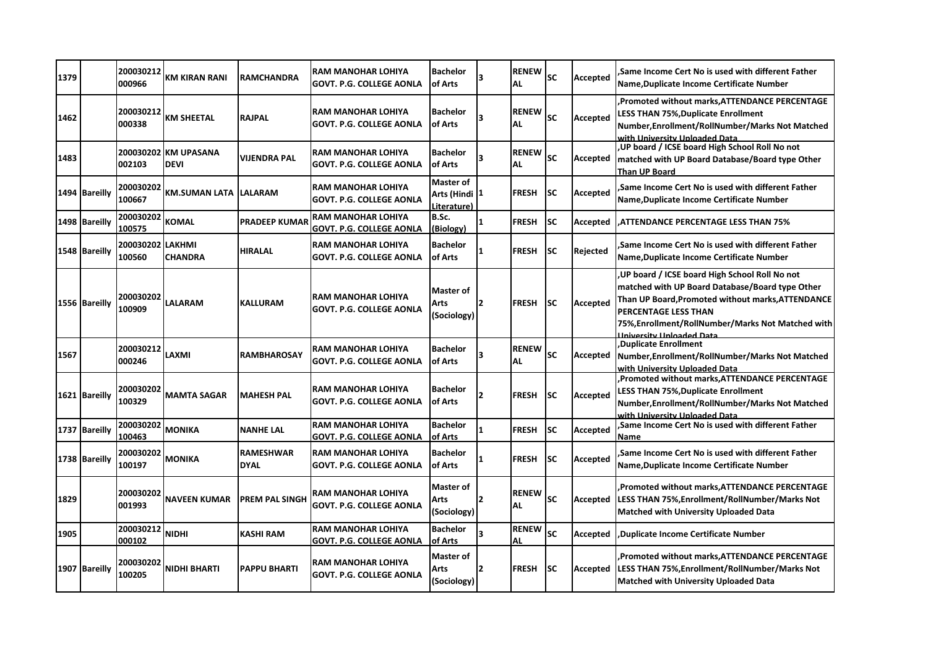| 1379 |               | 200030212<br>000966        | KM KIRAN RANI                       | <b>RAMCHANDRA</b>               | <b>RAM MANOHAR LOHIYA</b><br><b>GOVT. P.G. COLLEGE AONLA</b> | <b>Bachelor</b><br>of Arts                       |              | <b>RENEW</b><br><b>AL</b> | <b>SC</b> | Accepted | Same Income Cert No is used with different Father,<br>Name, Duplicate Income Certificate Number                                                                                                                                                                |
|------|---------------|----------------------------|-------------------------------------|---------------------------------|--------------------------------------------------------------|--------------------------------------------------|--------------|---------------------------|-----------|----------|----------------------------------------------------------------------------------------------------------------------------------------------------------------------------------------------------------------------------------------------------------------|
| 1462 |               | 200030212<br>000338        | <b>KM SHEETAL</b>                   | <b>RAJPAL</b>                   | <b>RAM MANOHAR LOHIYA</b><br><b>GOVT. P.G. COLLEGE AONLA</b> | <b>Bachelor</b><br>of Arts                       | 3            | <b>RENEW</b><br><b>AL</b> | SC        | Accepted | Promoted without marks, ATTENDANCE PERCENTAGE<br>LESS THAN 75%,Duplicate Enrollment<br>Number, Enrollment/RollNumber/Marks Not Matched<br>with University Uploaded Data                                                                                        |
| 1483 |               | 002103                     | 200030202 KM UPASANA<br><b>DEVI</b> | VIJENDRA PAL                    | <b>RAM MANOHAR LOHIYA</b><br><b>GOVT. P.G. COLLEGE AONLA</b> | <b>Bachelor</b><br>of Arts                       | Ι3           | <b>RENEW</b><br>AL        | SC        | Accepted | ,UP board / ICSE board High School Roll No not<br>matched with UP Board Database/Board type Other<br><b>Than UP Board</b>                                                                                                                                      |
|      | 1494 Bareilly | 200030202<br>100667        | <b>KM.SUMAN LATA</b>                | <b>LALARAM</b>                  | <b>RAM MANOHAR LOHIYA</b><br><b>GOVT. P.G. COLLEGE AONLA</b> | <b>Master of</b><br>Arts (Hindi 1<br>Literature) |              | <b>FRESH</b>              | SC        | Accepted | Same Income Cert No is used with different Father.<br>Name, Duplicate Income Certificate Number                                                                                                                                                                |
|      | 1498 Bareilly | 200030202<br>100575        | <b>KOMAL</b>                        | <b>PRADEEP KUMAR</b>            | <b>RAM MANOHAR LOHIYA</b><br>GOVT. P.G. COLLEGE AONLA        | B.Sc.<br>(Biology)                               | $\mathbf{1}$ | <b>FRESH</b>              | <b>SC</b> | Accepted | <b>ATTENDANCE PERCENTAGE LESS THAN 75%</b>                                                                                                                                                                                                                     |
|      | 1548 Bareilly | 200030202 LAKHMI<br>100560 | <b>CHANDRA</b>                      | <b>HIRALAL</b>                  | <b>RAM MANOHAR LOHIYA</b><br><b>GOVT. P.G. COLLEGE AONLA</b> | <b>Bachelor</b><br>of Arts                       |              | <b>FRESH</b>              | <b>SC</b> | Rejected | Same Income Cert No is used with different Father.<br>Name, Duplicate Income Certificate Number                                                                                                                                                                |
|      | 1556 Bareilly | 200030202<br>100909        | <b>LALARAM</b>                      | <b>KALLURAM</b>                 | RAM MANOHAR LOHIYA<br>GOVT. P.G. COLLEGE AONLA               | Master of<br>Arts<br>(Sociology)                 | l2           | <b>FRESH</b>              | SC        | Accepted | UP board / ICSE board High School Roll No not<br>matched with UP Board Database/Board type Other<br>Than UP Board, Promoted without marks, ATTENDANCE<br>PERCENTAGE LESS THAN<br>75%, Enrollment/RollNumber/Marks Not Matched with<br>Iniversity Unloaded Data |
| 1567 |               | 200030212<br>000246        | LAXMI                               | <b>RAMBHAROSAY</b>              | <b>RAM MANOHAR LOHIYA</b><br><b>GOVT. P.G. COLLEGE AONLA</b> | <b>Bachelor</b><br>of Arts                       |              | <b>RENEW</b><br><b>AL</b> | <b>SC</b> | Accepted | Duplicate Enrollment,<br>Number, Enrollment/RollNumber/Marks Not Matched<br>with University Uploaded Data                                                                                                                                                      |
|      | 1621 Bareilly | 200030202<br>100329        | <b>MAMTA SAGAR</b>                  | <b>MAHESH PAL</b>               | <b>RAM MANOHAR LOHIYA</b><br><b>GOVT. P.G. COLLEGE AONLA</b> | <b>Bachelor</b><br>of Arts                       | 2            | <b>FRESH</b>              | <b>SC</b> | Accepted | Promoted without marks, ATTENDANCE PERCENTAGE<br>LESS THAN 75%, Duplicate Enrollment<br>Number, Enrollment/RollNumber/Marks Not Matched<br>with University Uploaded Data                                                                                       |
|      | 1737 Bareilly | 200030202<br>100463        | <b>MONIKA</b>                       | <b>NANHE LAL</b>                | <b>RAM MANOHAR LOHIYA</b><br><b>GOVT. P.G. COLLEGE AONLA</b> | <b>Bachelor</b><br>of Arts                       | 1            | <b>FRESH</b>              | <b>SC</b> | Accepted | Same Income Cert No is used with different Father<br>Name                                                                                                                                                                                                      |
|      | 1738 Bareilly | 200030202<br>100197        | <b>MONIKA</b>                       | <b>RAMESHWAR</b><br><b>DYAL</b> | <b>RAM MANOHAR LOHIYA</b><br><b>GOVT. P.G. COLLEGE AONLA</b> | <b>Bachelor</b><br>of Arts                       | 1            | <b>FRESH</b>              | SC        | Accepted | Same Income Cert No is used with different Father.<br>Name, Duplicate Income Certificate Number                                                                                                                                                                |
| 1829 |               | 200030202<br>001993        | <b>NAVEEN KUMAR</b>                 | <b>PREM PAL SINGH</b>           | <b>RAM MANOHAR LOHIYA</b><br><b>GOVT. P.G. COLLEGE AONLA</b> | Master of<br>Arts<br>(Sociology)                 | 12           | <b>RENEW</b><br>AL        | SC        | Accepted | Promoted without marks, ATTENDANCE PERCENTAGE<br>LESS THAN 75%,Enrollment/RollNumber/Marks Not<br><b>Matched with University Uploaded Data</b>                                                                                                                 |
| 1905 |               | 200030212<br>000102        | <b>NIDHI</b>                        | <b>KASHI RAM</b>                | <b>RAM MANOHAR LOHIYA</b><br><b>GOVT. P.G. COLLEGE AONLA</b> | <b>Bachelor</b><br>of Arts                       | 3            | <b>RENEW</b><br>ΑL        | <b>SC</b> | Accepted | Duplicate Income Certificate Number,                                                                                                                                                                                                                           |
|      | 1907 Bareilly | 200030202<br>100205        | <b>NIDHI BHARTI</b>                 | <b>PAPPU BHARTI</b>             | <b>RAM MANOHAR LOHIYA</b><br><b>GOVT. P.G. COLLEGE AONLA</b> | Master of<br>Arts<br>(Sociology)                 | 2            | <b>FRESH</b>              | SC        | Accepted | Promoted without marks, ATTENDANCE PERCENTAGE<br>LESS THAN 75%, Enrollment/RollNumber/Marks Not<br><b>Matched with University Uploaded Data</b>                                                                                                                |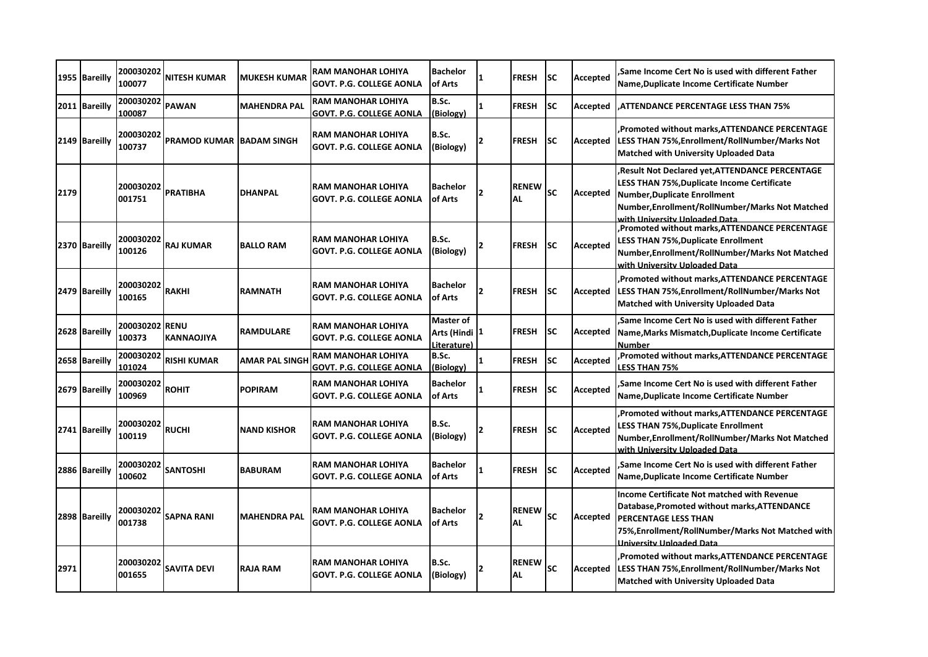|      | 1955 Bareilly | 200030202<br>100077 | NITESH KUMAR                    | <b>MUKESH KUMAR</b> | RAM MANOHAR LOHIYA<br><b>GOVT. P.G. COLLEGE AONLA</b>        | <b>Bachelor</b><br>of Arts                     |                          | <b>FRESH</b>              | SC        | <b>Accepted</b> | Same Income Cert No is used with different Father.<br>Name, Duplicate Income Certificate Number                                                                                                                          |
|------|---------------|---------------------|---------------------------------|---------------------|--------------------------------------------------------------|------------------------------------------------|--------------------------|---------------------------|-----------|-----------------|--------------------------------------------------------------------------------------------------------------------------------------------------------------------------------------------------------------------------|
|      | 2011 Bareilly | 200030202<br>100087 | <b>PAWAN</b>                    | <b>MAHENDRA PAL</b> | <b>RAM MANOHAR LOHIYA</b><br><b>GOVT. P.G. COLLEGE AONLA</b> | B.Sc.<br>(Biology)                             | 1                        | <b>FRESH</b>              | <b>SC</b> | Accepted        | <b>ATTENDANCE PERCENTAGE LESS THAN 75%</b>                                                                                                                                                                               |
|      | 2149 Bareilly | 200030202<br>100737 | <b>PRAMOD KUMAR BADAM SINGH</b> |                     | IRAM MANOHAR LOHIYA<br><b>GOVT. P.G. COLLEGE AONLA</b>       | B.Sc.<br>(Biology)                             | 2                        | <b>FRESH</b>              | SC        | Accepted        | Promoted without marks, ATTENDANCE PERCENTAGE<br>LESS THAN 75%, Enrollment/RollNumber/Marks Not<br><b>Matched with University Uploaded Data</b>                                                                          |
| 2179 |               | 200030202<br>001751 | PRATIBHA                        | <b>DHANPAL</b>      | <b>RAM MANOHAR LOHIYA</b><br><b>GOVT. P.G. COLLEGE AONLA</b> | <b>Bachelor</b><br>of Arts                     | 2                        | <b>RENEW</b><br><b>AL</b> | SC        | Accepted        | Result Not Declared yet, ATTENDANCE PERCENTAGE<br><b>LESS THAN 75%, Duplicate Income Certificate</b><br>Number, Duplicate Enrollment<br>Number, Enrollment/RollNumber/Marks Not Matched<br>with University Unloaded Data |
|      | 2370 Bareilly | 200030202<br>100126 | <b>RAJ KUMAR</b>                | <b>BALLO RAM</b>    | IRAM MANOHAR LOHIYA<br><b>GOVT. P.G. COLLEGE AONLA</b>       | B.Sc.<br>(Biology)                             |                          | <b>FRESH</b>              | SC        | Accepted        | Promoted without marks, ATTENDANCE PERCENTAGE<br>LESS THAN 75%,Duplicate Enrollment<br>Number, Enrollment/RollNumber/Marks Not Matched<br>with University Unloaded Data                                                  |
|      | 2479 Bareilly | 200030202<br>100165 | <b>RAKHI</b>                    | <b>RAMNATH</b>      | <b>RAM MANOHAR LOHIYA</b><br><b>GOVT. P.G. COLLEGE AONLA</b> | <b>Bachelor</b><br>of Arts                     | 2                        | <b>FRESH</b>              | SC        | Accepted        | Promoted without marks.ATTENDANCE PERCENTAGE.<br>LESS THAN 75%, Enrollment/RollNumber/Marks Not<br><b>Matched with University Uploaded Data</b>                                                                          |
|      | 2628 Bareilly | 200030202<br>100373 | <b>RENU</b><br>KANNAOJIYA       | <b>RAMDULARE</b>    | <b>RAM MANOHAR LOHIYA</b><br><b>GOVT. P.G. COLLEGE AONLA</b> | <b>Master of</b><br>Arts (Hindi<br>Literature) | 1                        | <b>FRESH</b>              | SC        | Accepted        | Same Income Cert No is used with different Father,<br>Name, Marks Mismatch, Duplicate Income Certificate<br>Number                                                                                                       |
|      | 2658 Bareilly | 200030202<br>101024 | RISHI KUMAR                     | AMAR PAL SINGH      | <b>RAM MANOHAR LOHIYA</b><br><b>GOVT. P.G. COLLEGE AONLA</b> | B.Sc.<br>(Biology)                             | 1                        | <b>FRESH</b>              | SC        | Accepted        | Promoted without marks, ATTENDANCE PERCENTAGE<br>LESS THAN 75%                                                                                                                                                           |
|      | 2679 Bareilly | 200030202<br>100969 | <b>ROHIT</b>                    | <b>POPIRAM</b>      | <b>RAM MANOHAR LOHIYA</b><br><b>GOVT. P.G. COLLEGE AONLA</b> | <b>Bachelor</b><br>of Arts                     |                          | <b>FRESH</b>              | <b>SC</b> | Accepted        | Same Income Cert No is used with different Father.<br>Name, Duplicate Income Certificate Number                                                                                                                          |
|      | 2741 Bareilly | 200030202<br>100119 | <b>RUCHI</b>                    | <b>NAND KISHOR</b>  | RAM MANOHAR LOHIYA<br><b>GOVT. P.G. COLLEGE AONLA</b>        | B.Sc.<br>(Biology)                             |                          | <b>FRESH</b>              | SC        | Accepted        | Promoted without marks, ATTENDANCE PERCENTAGE,<br><b>LESS THAN 75%, Duplicate Enrollment</b><br>Number, Enrollment/RollNumber/Marks Not Matched<br>with University Unloaded Data                                         |
|      | 2886 Bareilly | 200030202<br>100602 | <b>SANTOSHI</b>                 | <b>BABURAM</b>      | <b>RAM MANOHAR LOHIYA</b><br><b>GOVT. P.G. COLLEGE AONLA</b> | <b>Bachelor</b><br>of Arts                     |                          | <b>FRESH</b>              | SC        | Accepted        | Same Income Cert No is used with different Father.<br>Name, Duplicate Income Certificate Number                                                                                                                          |
|      | 2898 Bareilly | 200030202<br>001738 | <b>SAPNA RANI</b>               | <b>MAHENDRA PAL</b> | RAM MANOHAR LOHIYA<br><b>GOVT. P.G. COLLEGE AONLA</b>        | <b>Bachelor</b><br>of Arts                     | $\overline{\phantom{a}}$ | <b>RENEW</b><br><b>AL</b> | <b>SC</b> | Accepted        | <b>Income Certificate Not matched with Revenue</b><br>Database, Promoted without marks, ATTENDANCE<br><b>PERCENTAGE LESS THAN</b><br>75%, Enrollment/RollNumber/Marks Not Matched with<br>University Unloaded Data       |
| 2971 |               | 200030202<br>001655 | <b>SAVITA DEVI</b>              | <b>RAJA RAM</b>     | IRAM MANOHAR LOHIYA<br><b>GOVT. P.G. COLLEGE AONLA</b>       | B.Sc.<br>(Biology)                             |                          | <b>RENEW</b><br><b>AL</b> | <b>SC</b> | Accepted        | Promoted without marks, ATTENDANCE PERCENTAGE<br>LESS THAN 75%, Enrollment/RollNumber/Marks Not<br>Matched with University Uploaded Data                                                                                 |